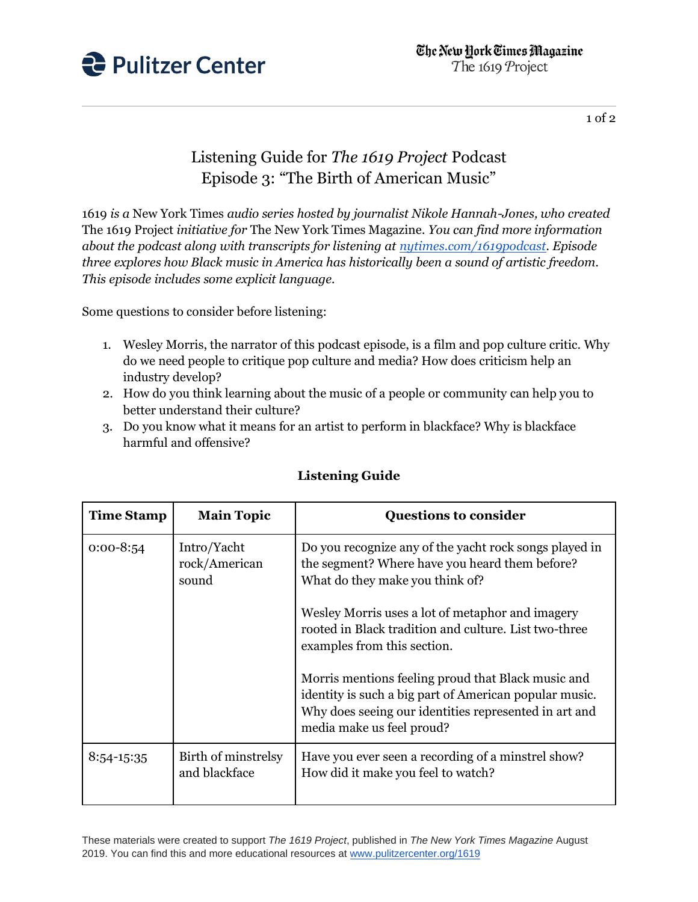

1 of 2

## Listening Guide for *The 1619 Project* Podcast Episode 3: "The Birth of American Music"

1619 *is a* New York Times *audio series hosted by journalist Nikole Hannah-Jones, who created*  The 1619 Project *initiative for* The New York Times Magazine*. You can find more information about the podcast along with transcripts for listening at [nytimes.com/1619podcast.](https://www.nytimes.com/2020/01/23/podcasts/1619-podcast.html) Episode three explores how Black music in America has historically been a sound of artistic freedom. This episode includes some explicit language.*

Some questions to consider before listening:

- 1. Wesley Morris, the narrator of this podcast episode, is a film and pop culture critic. Why do we need people to critique pop culture and media? How does criticism help an industry develop?
- 2. How do you think learning about the music of a people or community can help you to better understand their culture?
- 3. Do you know what it means for an artist to perform in blackface? Why is blackface harmful and offensive?

| <b>Time Stamp</b> | <b>Main Topic</b>                     | <b>Questions to consider</b>                                                                                                                                                                       |
|-------------------|---------------------------------------|----------------------------------------------------------------------------------------------------------------------------------------------------------------------------------------------------|
| $0:00-8:54$       | Intro/Yacht<br>rock/American<br>sound | Do you recognize any of the yacht rock songs played in<br>the segment? Where have you heard them before?<br>What do they make you think of?                                                        |
|                   |                                       | Wesley Morris uses a lot of metaphor and imagery<br>rooted in Black tradition and culture. List two-three<br>examples from this section.                                                           |
|                   |                                       | Morris mentions feeling proud that Black music and<br>identity is such a big part of American popular music.<br>Why does seeing our identities represented in art and<br>media make us feel proud? |
| $8:54-15:35$      | Birth of minstrelsy<br>and blackface  | Have you ever seen a recording of a minstrel show?<br>How did it make you feel to watch?                                                                                                           |

## **Listening Guide**

These materials were created to support *The 1619 Project*, published in *The New York Times Magazine* August 2019. You can find this and more educational resources at [www.pulitzercenter.org/1619](http://www.pulitzercenter.org/1619)